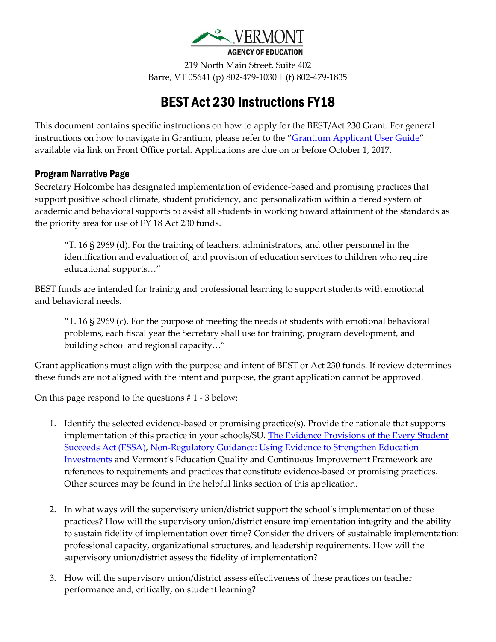

219 North Main Street, Suite 402 Barre, VT 05641 (p) 802-479-1030 | (f) 802-479-1835

# BEST Act 230 Instructions FY18

This document contains specific instructions on how to apply for the BEST/Act 230 Grant. For general instructions on how to navigate in Grantium, please refer to the "[Grantium Applicant User Guide](http://education.vermont.gov/documents/grantium-applicant-user-guide)" available via link on Front Office portal. Applications are due on or before October 1, 2017.

### Program Narrative Page

Secretary Holcombe has designated implementation of evidence-based and promising practices that support positive school climate, student proficiency, and personalization within a tiered system of academic and behavioral supports to assist all students in working toward attainment of the standards as the priority area for use of FY 18 Act 230 funds.

 $T$ . 16 § 2969 (d). For the training of teachers, administrators, and other personnel in the identification and evaluation of, and provision of education services to children who require educational supports…"

BEST funds are intended for training and professional learning to support students with emotional and behavioral needs.

"T. 16 § 2969 (c). For the purpose of meeting the needs of students with emotional behavioral problems, each fiscal year the Secretary shall use for training, program development, and building school and regional capacity…"

Grant applications must align with the purpose and intent of BEST or Act 230 funds. If review determines these funds are not aligned with the intent and purpose, the grant application cannot be approved.

On this page respond to the questions # 1 - 3 below:

- 1. Identify the selected evidence-based or promising practice(s). Provide the rationale that supports implementation of this practice in your schools/SU. The Evidence Provisions of the Every Student [Succeeds Act \(ESSA\),](http://results4america.org/wp-content/uploads/2016/11/ESSA-evidence-provisions-explainer-7.22.16-Update.pdf) [Non-Regulatory Guidance: Using Evidence to Strengthen Education](https://www2.ed.gov/policy/elsec/leg/essa/guidanceuseseinvestment.pdf)  [Investments](https://www2.ed.gov/policy/elsec/leg/essa/guidanceuseseinvestment.pdf) and Vermont's Education Quality and Continuous Improvement Framework are references to requirements and practices that constitute evidence-based or promising practices. Other sources may be found in the helpful links section of this application.
- 2. In what ways will the supervisory union/district support the school's implementation of these practices? How will the supervisory union/district ensure implementation integrity and the ability to sustain fidelity of implementation over time? Consider the drivers of sustainable implementation: professional capacity, organizational structures, and leadership requirements. How will the supervisory union/district assess the fidelity of implementation?
- 3. How will the supervisory union/district assess effectiveness of these practices on teacher performance and, critically, on student learning?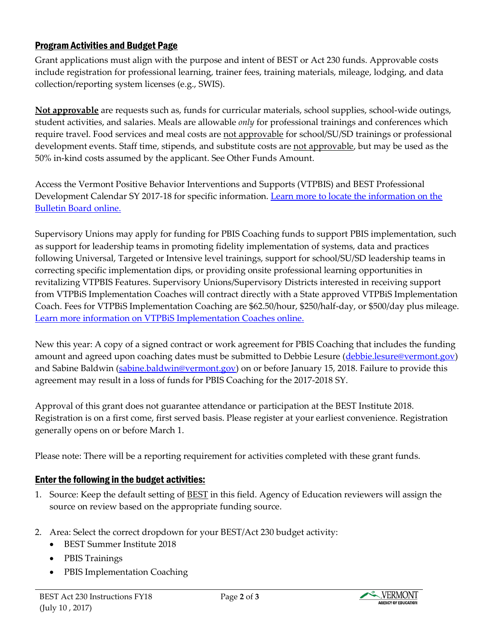## Program Activities and Budget Page

Grant applications must align with the purpose and intent of BEST or Act 230 funds. Approvable costs include registration for professional learning, trainer fees, training materials, mileage, lodging, and data collection/reporting system licenses (e.g., SWIS).

**Not approvable** are requests such as, funds for curricular materials, school supplies, school-wide outings, student activities, and salaries. Meals are allowable *only* for professional trainings and conferences which require travel. Food services and meal costs are not approvable for school/SU/SD trainings or professional development events. Staff time, stipends, and substitute costs are not approvable, but may be used as the 50% in-kind costs assumed by the applicant. See Other Funds Amount.

Access the Vermont Positive Behavior Interventions and Supports (VTPBIS) and BEST Professional Development Calendar SY 2017-18 for specific information. Learn more to locate the information on the [Bulletin Board](http://www.pbisvermont.org/) online.

Supervisory Unions may apply for funding for PBIS Coaching funds to support PBIS implementation, such as support for leadership teams in promoting fidelity implementation of systems, data and practices following Universal, Targeted or Intensive level trainings, support for school/SU/SD leadership teams in correcting specific implementation dips, or providing onsite professional learning opportunities in revitalizing VTPBIS Features. Supervisory Unions/Supervisory Districts interested in receiving support from VTPBiS Implementation Coaches will contract directly with a State approved VTPBiS Implementation Coach. Fees for VTPBiS Implementation Coaching are \$62.50/hour, \$250/half-day, or \$500/day plus mileage. [Learn more information on VTPBiS Implementation Coaches online.](http://www.pbisvermont.org/resources/coaches-a-coordinators/coaches)

New this year: A copy of a signed contract or work agreement for PBIS Coaching that includes the funding amount and agreed upon coaching dates must be submitted to Debbie Lesure [\(debbie.lesure@vermont.gov\)](mailto:debbie.lesure@vermont.gov) and Sabine Baldwin [\(sabine.baldwin@vermont.gov\)](mailto:sabine.baldwin@vermont.gov) on or before January 15, 2018. Failure to provide this agreement may result in a loss of funds for PBIS Coaching for the 2017-2018 SY.

Approval of this grant does not guarantee attendance or participation at the BEST Institute 2018. Registration is on a first come, first served basis. Please register at your earliest convenience. Registration generally opens on or before March 1.

Please note: There will be a reporting requirement for activities completed with these grant funds.

### Enter the following in the budget activities:

- 1. Source: Keep the default setting of BEST in this field. Agency of Education reviewers will assign the source on review based on the appropriate funding source.
- 2. Area: Select the correct dropdown for your BEST/Act 230 budget activity:
	- BEST Summer Institute 2018
	- PBIS Trainings
	- PBIS Implementation Coaching